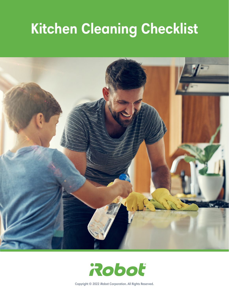# **Kitchen Cleaning Checklist**





Copyright © 2022 iRobot Corporation. All Rights Reserved.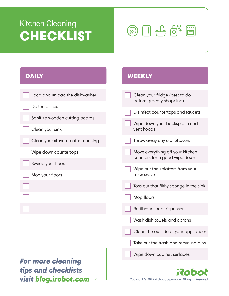## Kitchen Cleaning **CHECKLIST VALUUM-REFRIGHT SPRAY-CAN-SPARKLES SPRAY-CAN-SPARKLES**



**WEEKLY** 

#### **DAILY**

| Load and unload the dishwasher                                           | Clean your fridge (best to do<br>before grocery shopping)         |
|--------------------------------------------------------------------------|-------------------------------------------------------------------|
| Do the dishes                                                            |                                                                   |
| Sanitize wooden cutting boards                                           | Disinfect countertops and faucets                                 |
| Clean your sink                                                          | Wipe down your backsplash and<br>vent hoods                       |
| Clean your stovetop after cooking                                        | Throw away any old leftovers                                      |
| Wipe down countertops                                                    | Move everything off your kitchen<br>counters for a good wipe down |
| Sweep your floors<br>Mop your floors                                     | Wipe out the splatters from your<br>microwave                     |
|                                                                          | Toss out that filthy sponge in the sink                           |
|                                                                          | Mop floors                                                        |
|                                                                          | Refill your soap dispenser                                        |
|                                                                          | Wash dish towels and aprons                                       |
|                                                                          | Clean the outside of your appliances                              |
|                                                                          | Take out the trash and recycling bins                             |
|                                                                          | Wipe down cabinet surfaces                                        |
| <b>For more cleaning</b><br>tips and checklists<br>visit blog.irobot.com | Copyright © 2022 iRobot Corporation. All Rights Reserved.         |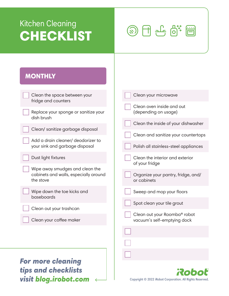## Kitchen Cleaning **CHECKLIST VALUUM-REFRIGHT SPRAY-CAN-SPARKLES SPRAY-CAN-SPARKLES**



#### **MONTHLY**

| <b>For more cleaning</b><br>tins and checklists                                       |                                                             |
|---------------------------------------------------------------------------------------|-------------------------------------------------------------|
|                                                                                       |                                                             |
|                                                                                       |                                                             |
|                                                                                       |                                                             |
| Clean your coffee maker                                                               | Clean out your Roomba® robot<br>vacuum's self-emptying dock |
| Clean out your trashcan                                                               | Spot clean your tile grout                                  |
| Wipe down the toe kicks and<br>baseboards                                             | Sweep and mop your floors                                   |
| Wipe away smudges and clean the<br>cabinets and walls, especially around<br>the stove | Organize your pantry, fridge, and/<br>or cabinets           |
| Dust light fixtures                                                                   | Clean the interior and exterior<br>of your fridge           |
| Add a drain cleaner/ deodorizer to<br>your sink and garbage disposal                  | Polish all stainless-steel appliances                       |
| Clean/ sanitize garbage disposal                                                      | Clean and sanitize your countertops                         |
| Replace your sponge or sanitize your<br>dish brush                                    | (depending on usage)<br>Clean the inside of your dishwasher |
| fridge and counters                                                                   | Clean oven inside and out                                   |
| Clean the space between your                                                          | Clean your microwave                                        |

visit blog.irobot.com <

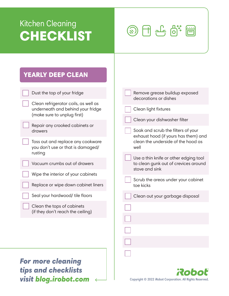## Kitchen Cleaning **CHECKLIST VALUUM-REFRIGHT SPRAY-CAN-SPARKLES SPRAY-CAN-SPARKLES**



|  | <b>YEARLY DEEP CLEAN</b> |
|--|--------------------------|
|  |                          |

visit blog.irobot.com <

| Dust the top of your fridge                                                                              | Remove grease buildup exposed<br>decorations or dishes                                                     |
|----------------------------------------------------------------------------------------------------------|------------------------------------------------------------------------------------------------------------|
| Clean refrigerator coils, as well as<br>underneath and behind your fridge<br>(make sure to unplug first) | Clean light fixtures                                                                                       |
| Repair any crooked cabinets or<br>drawers                                                                | Clean your dishwasher filter<br>Soak and scrub the filters of your<br>exhaust hood (if yours has them) and |
| Toss out and replace any cookware<br>you don't use or that is damaged/<br>rusting                        | clean the underside of the hood as<br>well                                                                 |
| Vacuum crumbs out of drawers                                                                             | Use a thin knife or other edging tool<br>to clean gunk out of crevices around<br>stove and sink            |
| Wipe the interior of your cabinets<br>Replace or wipe down cabinet liners                                | Scrub the areas under your cabinet<br>toe kicks                                                            |
| Seal your hardwood/ tile floors                                                                          | Clean out your garbage disposal                                                                            |
| Clean the tops of cabinets<br>(if they don't reach the ceiling)                                          |                                                                                                            |
|                                                                                                          |                                                                                                            |
|                                                                                                          |                                                                                                            |
| <b>For more cleaning</b><br>tips and checklists                                                          |                                                                                                            |
|                                                                                                          | うへん                                                                                                        |

Copyright © 2022 iRobot Corporation. All Rights Reserved.